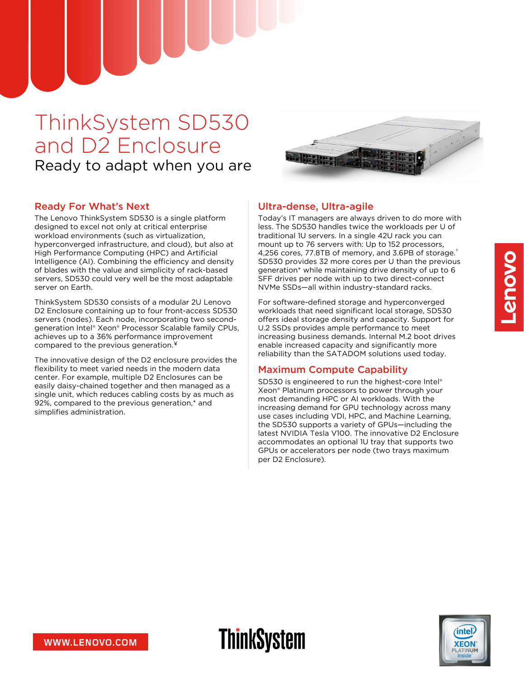# ThinkSystem SD530 and D2 Enclosure Ready to adapt when you are



### Ready For What's Next

The Lenovo ThinkSystem SD530 is a single platform designed to excel not only at critical enterprise workload environments (such as virtualization, hyperconverged infrastructure, and cloud), but also at High Performance Computing (HPC) and Artificial Intelligence (AI). Combining the efficiency and density of blades with the value and simplicity of rack-based servers, SD530 could very well be the most adaptable server on Earth.

ThinkSystem SD530 consists of a modular 2U Lenovo D2 Enclosure containing up to four front-access SD530 servers (nodes). Each node, incorporating two secondgeneration Intel® Xeon® Processor Scalable family CPUs, achieves up to a 36% performance improvement compared to the previous generation. ¥

The innovative design of the D2 enclosure provides the flexibility to meet varied needs in the modern data center. For example, multiple D2 Enclosures can be easily daisy-chained together and then managed as a single unit, which reduces cabling costs by as much as 92%, compared to the previous generation,\* and simplifies administration.

### Ultra-dense, Ultra-agile

Today's IT managers are always driven to do more with less. The SD530 handles twice the workloads per U of traditional 1U servers. In a single 42U rack you can mount up to 76 servers with: Up to 152 processors, 4,256 cores, 77.8TB of memory, and 3.6PB of storage. †SD530 provides 32 more cores per U than the previous generation\* while maintaining drive density of up to 6 SFF drives per node with up to two direct-connect NVMe SSDs—all within industry-standard racks.

For software-defined storage and hyperconverged workloads that need significant local storage, SD530 offers ideal storage density and capacity. Support for U.2 SSDs provides ample performance to meet increasing business demands. Internal M.2 boot drives enable increased capacity and significantly more reliability than the SATADOM solutions used today.

#### Maximum Compute Capability

**ThinkSystem** 

SD530 is engineered to run the highest-core Intel® Xeon® Platinum processors to power through your most demanding HPC or AI workloads. With the increasing demand for GPU technology across many use cases including VDI, HPC, and Machine Learning, the SD530 supports a variety of GPUs—including the latest NVIDIA Tesla V100. The innovative D2 Enclosure accommodates an optional 1U tray that supports two GPUs or accelerators per node (two trays maximum per D2 Enclosure).

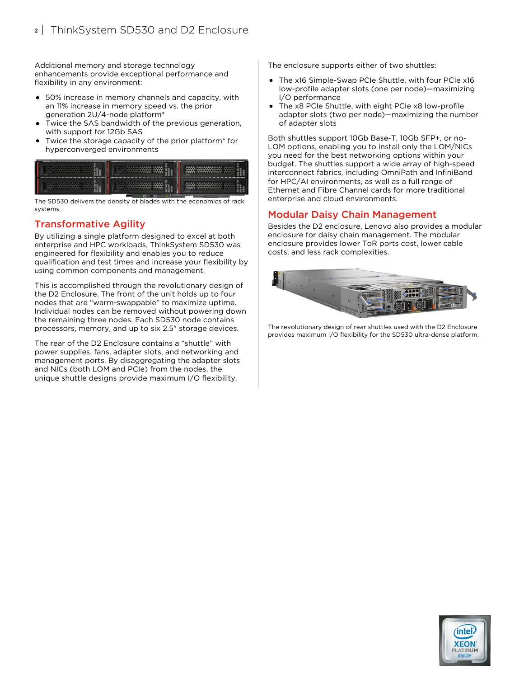Additional memory and storage technology enhancements provide exceptional performance and flexibility in any environment:

- 50% increase in memory channels and capacity, with an 11% increase in memory speed vs. the prior generation 2U/4-node platform\*
- Twice the SAS bandwidth of the previous generation, with support for 12Gb SAS
- Twice the storage capacity of the prior platform\* for hyperconverged environments



The SD530 delivers the density of blades with the economics of rack systems.

### Transformative Agility

By utilizing a single platform designed to excel at both enterprise and HPC workloads, ThinkSystem SD530 was engineered for flexibility and enables you to reduce qualification and test times and increase your flexibility by using common components and management.

This is accomplished through the revolutionary design of the D2 Enclosure. The front of the unit holds up to four nodes that are "warm-swappable" to maximize uptime. Individual nodes can be removed without powering down the remaining three nodes. Each SD530 node contains processors, memory, and up to six 2.5" storage devices.

The rear of the D2 Enclosure contains a "shuttle" with power supplies, fans, adapter slots, and networking and management ports. By disaggregating the adapter slots and NICs (both LOM and PCIe) from the nodes, the unique shuttle designs provide maximum I/O flexibility.

The enclosure supports either of two shuttles:

- The x16 Simple-Swap PCIe Shuttle, with four PCIe x16 low-profile adapter slots (one per node)—maximizing I/O performance
- The x8 PCIe Shuttle, with eight PCIe x8 low-profile adapter slots (two per node)—maximizing the number of adapter slots

Both shuttles support 10Gb Base-T, 10Gb SFP+, or no-LOM options, enabling you to install only the LOM/NICs you need for the best networking options within your budget. The shuttles support a wide array of high-speed interconnect fabrics, including OmniPath and InfiniBand for HPC/AI environments, as well as a full range of Ethernet and Fibre Channel cards for more traditional enterprise and cloud environments.

### Modular Daisy Chain Management

Besides the D2 enclosure, Lenovo also provides a modular enclosure for daisy chain management. The modular enclosure provides lower ToR ports cost, lower cable costs, and less rack complexities.



The revolutionary design of rear shuttles used with the D2 Enclosure provides maximum I/O flexibility for the SD530 ultra-dense platform.

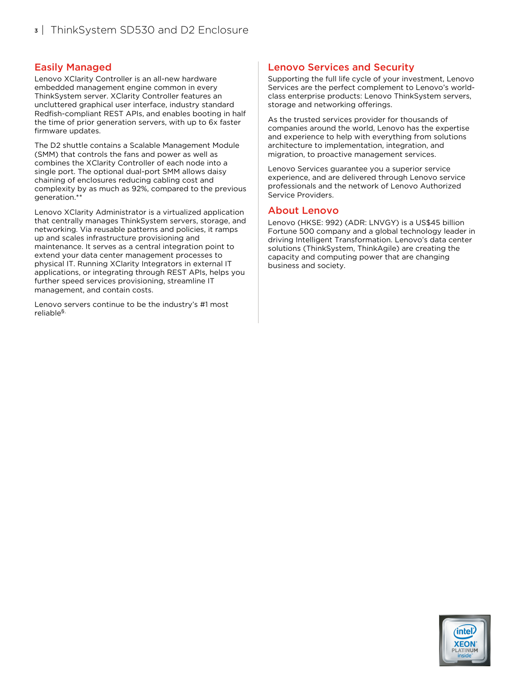### Easily Managed

Lenovo XClarity Controller is an all-new hardware embedded management engine common in every ThinkSystem server. XClarity Controller features an uncluttered graphical user interface, industry standard Redfish-compliant REST APIs, and enables booting in half the time of prior generation servers, with up to 6x faster firmware updates.

The D2 shuttle contains a Scalable Management Module (SMM) that controls the fans and power as well as combines the XClarity Controller of each node into a single port. The optional dual-port SMM allows daisy chaining of enclosures reducing cabling cost and complexity by as much as 92%, compared to the previous generation.\*\*

Lenovo XClarity Administrator is a virtualized application that centrally manages ThinkSystem servers, storage, and networking. Via reusable patterns and policies, it ramps up and scales infrastructure provisioning and maintenance. It serves as a central integration point to extend your data center management processes to physical IT. Running XClarity Integrators in external IT applications, or integrating through REST APIs, helps you further speed services provisioning, streamline IT management, and contain costs.

Lenovo servers continue to be the industry's #1 most reliable §.

#### Lenovo Services and Security

Supporting the full life cycle of your investment, Lenovo Services are the perfect complement to Lenovo's worldclass enterprise products: Lenovo ThinkSystem servers, storage and networking offerings.

As the trusted services provider for thousands of companies around the world, Lenovo has the expertise and experience to help with everything from solutions architecture to implementation, integration, and migration, to proactive management services.

Lenovo Services guarantee you a superior service experience, and are delivered through Lenovo service professionals and the network of Lenovo Authorized Service Providers.

#### About Lenovo

Lenovo (HKSE: 992) (ADR: LNVGY) is a US\$45 billion Fortune 500 company and a global technology leader in driving Intelligent Transformation. Lenovo's data center solutions (ThinkSystem, ThinkAgile) are creating the capacity and computing power that are changing business and society.